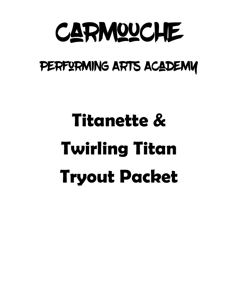

# PERFORMING ARTS ACADEMY

# **Titanette & Twirling Titan Tryout Packet**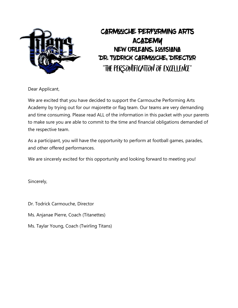

## Carmouche Performing Arts **ACADEMY** New Orleans, Louisiana DR. TUDRICK CARMOUCHE, DIRECTUR "The Personification of Excellence"

Dear Applicant,

We are excited that you have decided to support the Carmouche Performing Arts Academy by trying out for our majorette or flag team. Our teams are very demanding and time consuming. Please read ALL of the information in this packet with your parents to make sure you are able to commit to the time and financial obligations demanded of the respective team.

As a participant, you will have the opportunity to perform at football games, parades, and other offered performances.

We are sincerely excited for this opportunity and looking forward to meeting you!

Sincerely,

Dr. Todrick Carmouche, Director

Ms. Anjanae Pierre, Coach (Titanettes)

Ms. Taylar Young, Coach (Twirling Titans)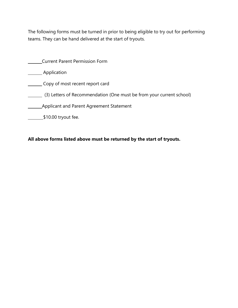The following forms must be turned in prior to being eligible to try out for performing teams. They can be hand delivered at the start of tryouts.

| <b>Current Parent Permission Form</b>                                |
|----------------------------------------------------------------------|
| Application                                                          |
| Copy of most recent report card                                      |
| (3) Letters of Recommendation (One must be from your current school) |
| Applicant and Parent Agreement Statement                             |
| $$10.00$ tryout fee.                                                 |

**All above forms listed above must be returned by the start of tryouts.**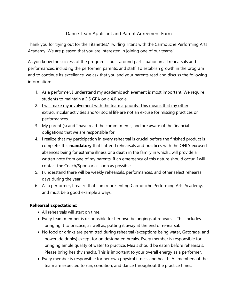### Dance Team Applicant and Parent Agreement Form

Thank you for trying out for the Titanettes/ Twirling Titans with the Carmouche Performing Arts Academy. We are pleased that you are interested in joining one of our teams!

As you know the success of the program is built around participation in all rehearsals and performances, including the performer, parents, and staff. To establish growth in the program and to continue its excellence, we ask that you and your parents read and discuss the following information:

- 1. As a performer, I understand my academic achievement is most important. We require students to maintain a 2.5 GPA on a 4.0 scale.
- 2. I will make my involvement with the team a priority. This means that my other extracurricular activities and/or social life are not an excuse for missing practices or performances.
- 3. My parent (s) and I have read the commitments, and are aware of the financial obligations that we are responsible for.
- 4. I realize that my participation in every rehearsal is crucial before the finished product is complete. It is **mandatory** that I attend rehearsals and practices with the ONLY excused absences being for extreme illness or a death in the family in which I will provide a written note from one of my parents. If an emergency of this nature should occur, I will contact the Coach/Sponsor as soon as possible.
- 5. I understand there will be weekly rehearsals, performances, and other select rehearsal days during the year.
- 6. As a performer, I realize that I am representing Carmouche Performing Arts Academy, and must be a good example always.

#### **Rehearsal Expectations:**

- All rehearsals will start on time.
- Every team member is responsible for her own belongings at rehearsal. This includes bringing it to practice, as well as, putting it away at the end of rehearsal.
- No food or drinks are permitted during rehearsal (exceptions being water, Gatorade, and powerade drinks) except for on designated breaks. Every member is responsible for bringing ample quality of water to practice. Meals should be eaten before rehearsals. Please bring healthy snacks. This is important to your overall energy as a performer.
- Every member is responsible for her own physical fitness and health. All members of the team are expected to run, condition, and dance throughout the practice times.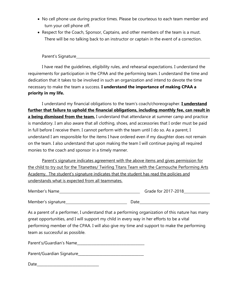- No cell phone use during practice times. Please be courteous to each team member and turn your cell phone off.
- Respect for the Coach, Sponsor, Captains, and other members of the team is a must. There will be no talking back to an instructor or captain in the event of a correction.

Parent's Signature

I have read the guidelines, eligibility rules, and rehearsal expectations. I understand the requirements for participation in the CPAA and the performing team. I understand the time and dedication that it takes to be involved in such an organization and intend to devote the time necessary to make the team a success. **I understand the importance of making CPAA a priority in my life.**

I understand my financial obligations to the team's coach/choreographer. **I understand further that failure to uphold the financial obligations, including monthly fee, can result in a being dismissed from the team.** I understand that attendance at summer camp and practice is mandatory. I am also aware that all clothing, shoes, and accessories that I order must be paid in full before I receive them. I cannot perform with the team until I do so. As a parent, I understand I am responsible for the items I have ordered even if my daughter does not remain on the team. I also understand that upon making the team I will continue paying all required monies to the coach and sponsor in a timely manner.

Parent's signature indicates agreement with the above items and gives permission for the child to try out for the Titanettes/ Twirling Titans Team with the Carmouche Performing Arts Academy. The student's signature indicates that the student has read the policies and understands what is expected from all teammates.

| Member's Name       | Grade for 2017-2018 |
|---------------------|---------------------|
|                     |                     |
| Member's signature_ | Date                |

As a parent of a performer, I understand that a performing organization of this nature has many great opportunities, and I will support my child in every way in her efforts to be a vital performing member of the CPAA. I will also give my time and support to make the performing team as successful as possible.

| Parent's/Guardian's Name |  |
|--------------------------|--|
|                          |  |

| Parent/Guardian Signature |  |
|---------------------------|--|
|---------------------------|--|

 $Date$   $\Box$